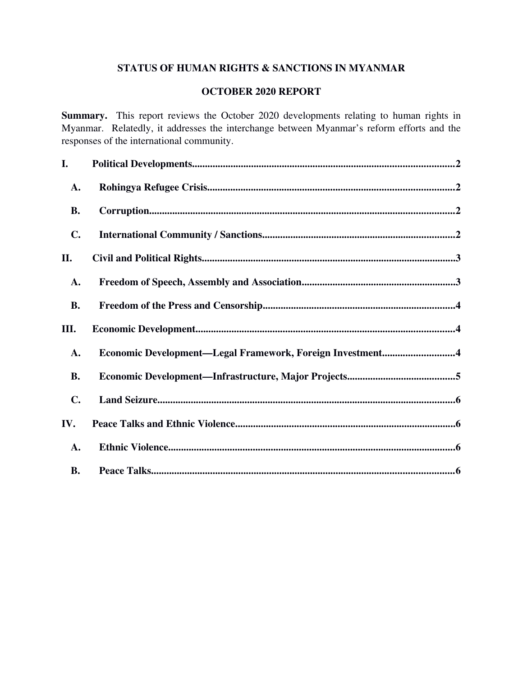## STATUS OF HUMAN RIGHTS & SANCTIONS IN MYANMAR

# OCTOBER 2020 REPORT

Summary. This report reviews the October 2020 developments relating to human rights in Myanmar. Relatedly, it addresses the interchange between Myanmar's reform efforts and the responses of the international community.

| I.             |                                                           |
|----------------|-----------------------------------------------------------|
| A.             |                                                           |
| <b>B.</b>      |                                                           |
| $\mathbf{C}$ . |                                                           |
| II.            |                                                           |
| A.             |                                                           |
| <b>B.</b>      |                                                           |
|                |                                                           |
| Ш.             |                                                           |
| A.             | Economic Development-Legal Framework, Foreign Investment4 |
| <b>B.</b>      |                                                           |
| $\mathbf{C}$ . |                                                           |
| IV.            |                                                           |
| A.             |                                                           |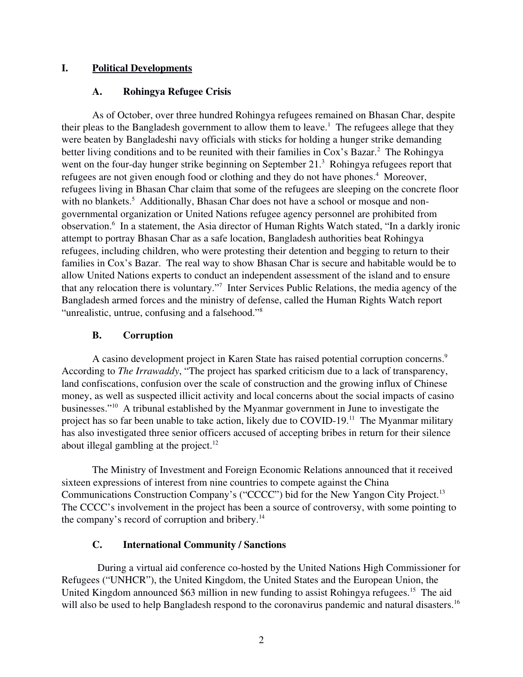## I. Political Developments

#### <span id="page-1-3"></span><span id="page-1-2"></span>A. Rohingya Refugee Crisis

As of October, over three hundred Rohingya refugees remained on Bhasan Char, despite their pleas to the Bangladesh government to allow them to leave.<sup>1</sup> The refugees allege that they were beaten by Bangladeshi navy officials with sticks for holding a hunger strike demanding better living conditions and to be reunited with their families in Cox's Bazar.<sup>2</sup> The Rohingya went on the four-day hunger strike beginning on September  $21<sup>3</sup>$  Rohingya refugees report that refugees are not given enough food or clothing and they do not have phones.<sup>4</sup> Moreover, refugees living in Bhasan Char claim that some of the refugees are sleeping on the concrete floor with no blankets.<sup>5</sup> Additionally, Bhasan Char does not have a school or mosque and nongovernmental organization or United Nations refugee agency personnel are prohibited from observation.<sup>6</sup> In a statement, the Asia director of Human Rights Watch stated, "In a darkly ironic attempt to portray Bhasan Char as a safe location, Bangladesh authorities beat Rohingya refugees, including children, who were protesting their detention and begging to return to their families in Cox's Bazar. The real way to show Bhasan Char is secure and habitable would be to allow United Nations experts to conduct an independent assessment of the island and to ensure that any relocation there is voluntary."<sup>7</sup> Inter Services Public Relations, the media agency of the Bangladesh armed forces and the ministry of defense, called the Human Rights Watch report "unrealistic, untrue, confusing and a falsehood."<sup>8</sup>

## <span id="page-1-1"></span>B. Corruption

A casino development project in Karen State has raised potential corruption concerns.<sup>9</sup> According to *The Irrawaddy*, "The project has sparked criticism due to a lack of transparency, land confiscations, confusion over the scale of construction and the growing influx of Chinese money, as well as suspected illicit activity and local concerns about the social impacts of casino businesses."<sup>10</sup> A tribunal established by the Myanmar government in June to investigate the project has so far been unable to take action, likely due to COVID-19.<sup>11</sup> The Myanmar military has also investigated three senior officers accused of accepting bribes in return for their silence about illegal gambling at the project. $12$ 

The Ministry of Investment and Foreign Economic Relations announced that it received sixteen expressions of interest from nine countries to compete against the China Communications Construction Company's ("CCCC") bid for the New Yangon City Project.<sup>13</sup> The CCCC's involvement in the project has been a source of controversy, with some pointing to the company's record of corruption and bribery.<sup>14</sup>

## <span id="page-1-0"></span>C. International Community / Sanctions

During a virtual aid conference co-hosted by the United Nations High Commissioner for Refugees ("UNHCR"), the United Kingdom, the United States and the European Union, the United Kingdom announced \$63 million in new funding to assist Rohingya refugees.<sup>15</sup> The aid will also be used to help Bangladesh respond to the coronavirus pandemic and natural disasters.<sup>16</sup>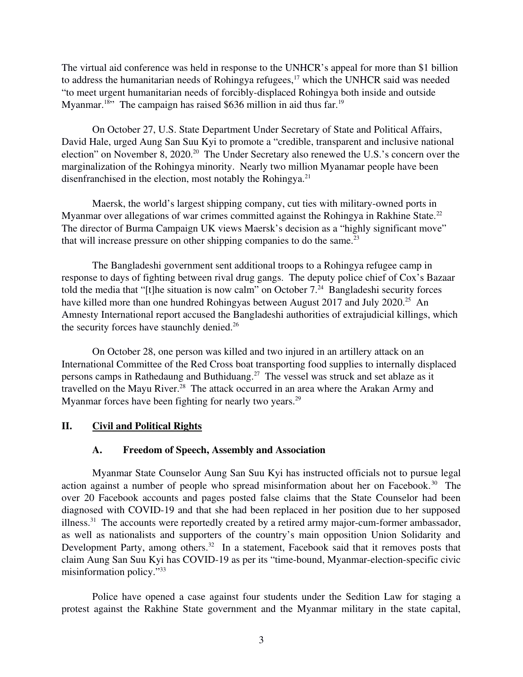The virtual aid conference was held in response to the UNHCR's appeal for more than \$1 billion to address the humanitarian needs of Rohingya refugees, $17$  which the UNHCR said was needed "to meet urgent humanitarian needs of forcibly-displaced Rohingya both inside and outside Myanmar.<sup>18</sup>" The campaign has raised \$636 million in aid thus far.<sup>19</sup>

On October 27, U.S. State Department Under Secretary of State and Political Affairs, David Hale, urged Aung San Suu Kyi to promote a "credible, transparent and inclusive national election" on November 8, 2020.<sup>20</sup> The Under Secretary also renewed the U.S.'s concern over the marginalization of the Rohingya minority. Nearly two million Myanamar people have been disenfranchised in the election, most notably the Rohingya.<sup>21</sup>

Maersk, the world's largest shipping company, cut ties with military-owned ports in Myanmar over allegations of war crimes committed against the Rohingya in Rakhine State.<sup>22</sup> The director of Burma Campaign UK views Maersk's decision as a "highly significant move" that will increase pressure on other shipping companies to do the same. $^{23}$ 

The Bangladeshi government sent additional troops to a Rohingya refugee camp in response to days of fighting between rival drug gangs. The deputy police chief of Cox's Bazaar told the media that "[t]he situation is now calm" on October  $7.^{24}$  Bangladeshi security forces have killed more than one hundred Rohingyas between August 2017 and July 2020.<sup>25</sup> An Amnesty International report accused the Bangladeshi authorities of extrajudicial killings, which the security forces have staunchly denied.<sup>26</sup>

On October 28, one person was killed and two injured in an artillery attack on an International Committee of the Red Cross boat transporting food supplies to internally displaced persons camps in Rathedaung and Buthiduang.<sup>27</sup> The vessel was struck and set ablaze as it travelled on the Mayu River.<sup>28</sup> The attack occurred in an area where the Arakan Army and Myanmar forces have been fighting for nearly two years. $^{29}$ 

## II. Civil and Political Rights

#### <span id="page-2-1"></span><span id="page-2-0"></span>A. Freedom of Speech, Assembly and Association

Myanmar State Counselor Aung San Suu Kyi has instructed officials not to pursue legal action against a number of people who spread misinformation about her on Facebook.<sup>30</sup> The over 20 Facebook accounts and pages posted false claims that the State Counselor had been diagnosed with COVID-19 and that she had been replaced in her position due to her supposed illness.<sup>31</sup> The accounts were reportedly created by a retired army major-cum-former ambassador, as well as nationalists and supporters of the country's main opposition Union Solidarity and Development Party, among others.<sup>32</sup> In a statement, Facebook said that it removes posts that claim Aung San Suu Kyi has COVID-19 as per its "time-bound, Myanmar-election-specific civic misinformation policy."<sup>33</sup>

Police have opened a case against four students under the Sedition Law for staging a protest against the Rakhine State government and the Myanmar military in the state capital,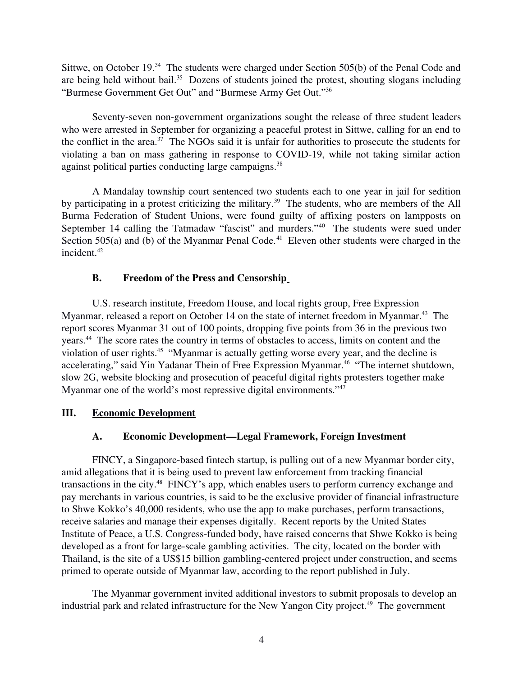Sittwe, on October 19.<sup>34</sup> The students were charged under Section 505(b) of the Penal Code and are being held without bail. $35$  Dozens of students joined the protest, shouting slogans including "Burmese Government Get Out" and "Burmese Army Get Out."<sup>36</sup>

Seventy-seven non-government organizations sought the release of three student leaders who were arrested in September for organizing a peaceful protest in Sittwe, calling for an end to the conflict in the area.<sup>37</sup> The NGOs said it is unfair for authorities to prosecute the students for violating a ban on mass gathering in response to COVID-19, while not taking similar action against political parties conducting large campaigns.<sup>38</sup>

A Mandalay township court sentenced two students each to one year in jail for sedition by participating in a protest criticizing the military.<sup>39</sup> The students, who are members of the All Burma Federation of Student Unions, were found guilty of affixing posters on lampposts on September 14 calling the Tatmadaw "fascist" and murders."<sup>40</sup> The students were sued under Section 505(a) and (b) of the Myanmar Penal Code.<sup>41</sup> Eleven other students were charged in the incident. $42$ 

# <span id="page-3-2"></span>B. Freedom of the Press and Censorship

U.S. research institute, Freedom House, and local rights group, Free Expression Myanmar, released a report on October 14 on the state of internet freedom in Myanmar.<sup>43</sup> The report scores Myanmar 31 out of 100 points, dropping five points from 36 in the previous two years.<sup>44</sup> The score rates the country in terms of obstacles to access, limits on content and the violation of user rights.<sup>45</sup> "Myanmar is actually getting worse every year, and the decline is accelerating," said Yin Yadanar Thein of Free Expression Myanmar.<sup>46</sup> "The internet shutdown, slow 2G, website blocking and prosecution of peaceful digital rights protesters together make Myanmar one of the world's most repressive digital environments."<sup>47</sup>

## III. Economic Development

# <span id="page-3-1"></span><span id="page-3-0"></span>A. Economic Development—Legal Framework, Foreign Investment

FINCY, a Singapore-based fintech startup, is pulling out of a new Myanmar border city, amid allegations that it is being used to prevent law enforcement from tracking financial transactions in the city.<sup>48</sup> FINCY's app, which enables users to perform currency exchange and pay merchants in various countries, is said to be the exclusive provider of financial infrastructure to Shwe Kokko's 40,000 residents, who use the app to make purchases, perform transactions, receive salaries and manage their expenses digitally. Recent reports by the United States Institute of Peace, a U.S. Congress-funded body, have raised concerns that Shwe Kokko is being developed as a front for large-scale gambling activities. The city, located on the border with Thailand, is the site of a US\$15 billion gambling-centered project under construction, and seems primed to operate outside of Myanmar law, according to the report published in July.

The Myanmar government invited additional investors to submit proposals to develop an industrial park and related infrastructure for the New Yangon City project.<sup>49</sup> The government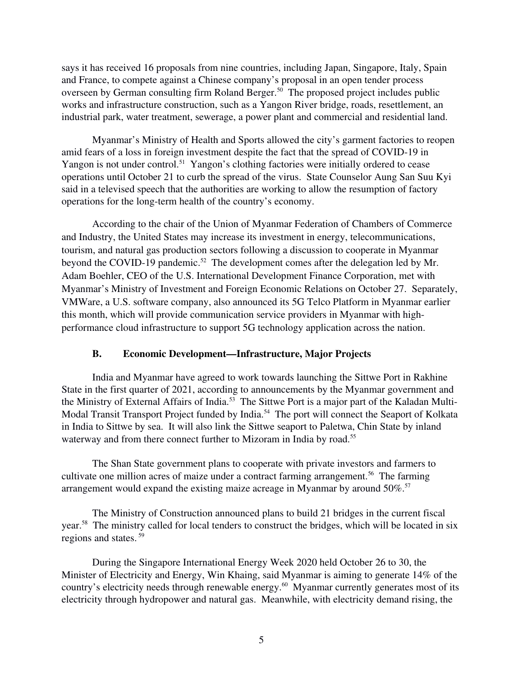says it has received 16 proposals from nine countries, including Japan, Singapore, Italy, Spain and France, to compete against a Chinese company's proposal in an open tender process overseen by German consulting firm Roland Berger.<sup>50</sup> The proposed project includes public works and infrastructure construction, such as a Yangon River bridge, roads, resettlement, an industrial park, water treatment, sewerage, a power plant and commercial and residential land.

Myanmar's Ministry of Health and Sports allowed the city's garment factories to reopen amid fears of a loss in foreign investment despite the fact that the spread of COVID-19 in Yangon is not under control.<sup>51</sup> Yangon's clothing factories were initially ordered to cease operations until October 21 to curb the spread of the virus. State Counselor Aung San Suu Kyi said in a televised speech that the authorities are working to allow the resumption of factory operations for the long-term health of the country's economy.

According to the chair of the Union of Myanmar Federation of Chambers of Commerce and Industry, the United States may increase its investment in energy, telecommunications, tourism, and natural gas production sectors following a discussion to cooperate in Myanmar beyond the COVID-19 pandemic.<sup>52</sup> The development comes after the delegation led by Mr. Adam Boehler, CEO of the U.S. International Development Finance Corporation, met with Myanmar's Ministry of Investment and Foreign Economic Relations on October 27. Separately, VMWare, a U.S. software company, also announced its 5G Telco Platform in Myanmar earlier this month, which will provide communication service providers in Myanmar with highperformance cloud infrastructure to support 5G technology application across the nation.

#### <span id="page-4-0"></span>B. Economic Development—Infrastructure, Major Projects

India and Myanmar have agreed to work towards launching the Sittwe Port in Rakhine State in the first quarter of 2021, according to announcements by the Myanmar government and the Ministry of External Affairs of India.53 The Sittwe Port is a major part of the Kaladan Multi-Modal Transit Transport Project funded by India.<sup>54</sup> The port will connect the Seaport of Kolkata in India to Sittwe by sea. It will also link the Sittwe seaport to Paletwa, Chin State by inland waterway and from there connect further to Mizoram in India by road.<sup>55</sup>

The Shan State government plans to cooperate with private investors and farmers to cultivate one million acres of maize under a contract farming arrangement.<sup>56</sup> The farming arrangement would expand the existing maize acreage in Myanmar by around 50%.<sup>57</sup>

The Ministry of Construction announced plans to build 21 bridges in the current fiscal year.<sup>58</sup> The ministry called for local tenders to construct the bridges, which will be located in six regions and states. <sup>59</sup>

During the Singapore International Energy Week 2020 held October 26 to 30, the Minister of Electricity and Energy, Win Khaing, said Myanmar is aiming to generate 14% of the country's electricity needs through renewable energy.<sup>60</sup> Myanmar currently generates most of its electricity through hydropower and natural gas. Meanwhile, with electricity demand rising, the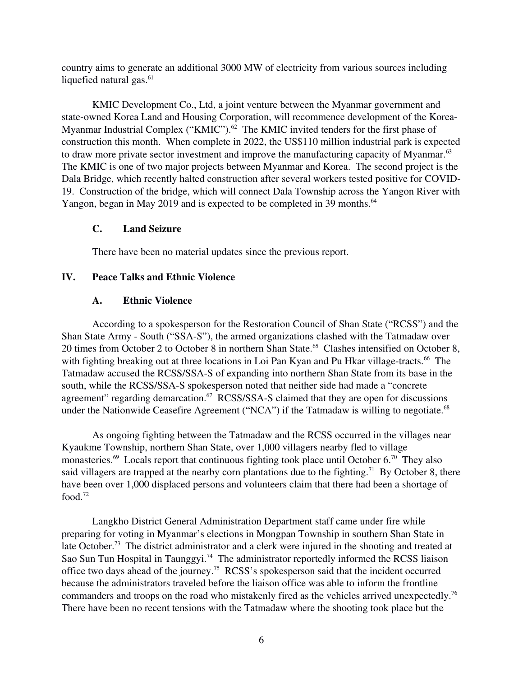country aims to generate an additional 3000 MW of electricity from various sources including liquefied natural gas.<sup>61</sup>

KMIC Development Co., Ltd, a joint venture between the Myanmar government and state-owned Korea Land and Housing Corporation, will recommence development of the Korea-Myanmar Industrial Complex ("KMIC").<sup>62</sup> The KMIC invited tenders for the first phase of construction this month. When complete in 2022, the US\$110 million industrial park is expected to draw more private sector investment and improve the manufacturing capacity of Myanmar.<sup>63</sup> The KMIC is one of two major projects between Myanmar and Korea. The second project is the Dala Bridge, which recently halted construction after several workers tested positive for COVID-19. Construction of the bridge, which will connect Dala Township across the Yangon River with Yangon, began in May 2019 and is expected to be completed in 39 months.<sup>64</sup>

### <span id="page-5-2"></span>C. Land Seizure

<span id="page-5-1"></span>There have been no material updates since the previous report.

### IV. Peace Talks and Ethnic Violence

### <span id="page-5-0"></span>A. Ethnic Violence

According to a spokesperson for the Restoration Council of Shan State ("RCSS") and the Shan State Army - South ("SSA-S"), the armed organizations clashed with the Tatmadaw over 20 times from October 2 to October 8 in northern Shan State.<sup>65</sup> Clashes intensified on October 8, with fighting breaking out at three locations in Loi Pan Kyan and Pu Hkar village-tracts.<sup>66</sup> The Tatmadaw accused the RCSS/SSA-S of expanding into northern Shan State from its base in the south, while the RCSS/SSA-S spokesperson noted that neither side had made a "concrete agreement" regarding demarcation.<sup>67</sup> RCSS/SSA-S claimed that they are open for discussions under the Nationwide Ceasefire Agreement ("NCA") if the Tatmadaw is willing to negotiate.<sup>68</sup>

As ongoing fighting between the Tatmadaw and the RCSS occurred in the villages near Kyaukme Township, northern Shan State, over 1,000 villagers nearby fled to village monasteries.<sup>69</sup> Locals report that continuous fighting took place until October  $6.^{70}$  They also said villagers are trapped at the nearby corn plantations due to the fighting.<sup>71</sup> By October 8, there have been over 1,000 displaced persons and volunteers claim that there had been a shortage of food.<sup>72</sup>

Langkho District General Administration Department staff came under fire while preparing for voting in Myanmar's elections in Mongpan Township in southern Shan State in late October.<sup>73</sup> The district administrator and a clerk were injured in the shooting and treated at Sao Sun Tun Hospital in Taunggyi.<sup>74</sup> The administrator reportedly informed the RCSS liaison office two days ahead of the journey.<sup>75</sup> RCSS's spokesperson said that the incident occurred because the administrators traveled before the liaison office was able to inform the frontline commanders and troops on the road who mistakenly fired as the vehicles arrived unexpectedly.<sup>76</sup> There have been no recent tensions with the Tatmadaw where the shooting took place but the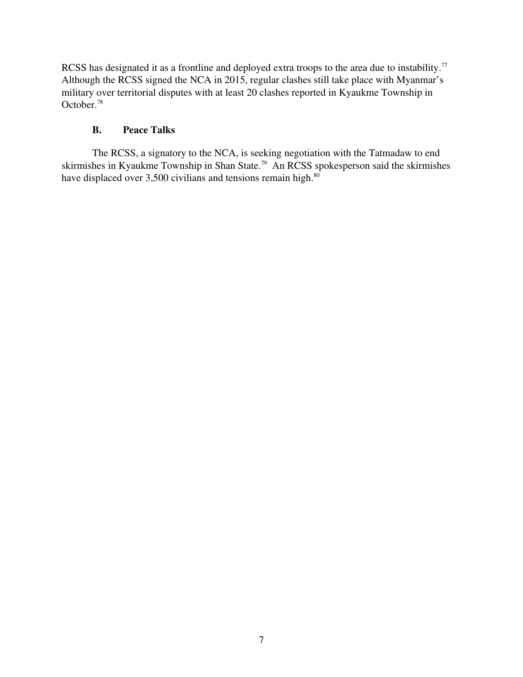RCSS has designated it as a frontline and deployed extra troops to the area due to instability.<sup>77</sup> Although the RCSS signed the NCA in 2015, regular clashes still take place with Myanmar's military over territorial disputes with at least 20 clashes reported in Kyaukme Township in October.<sup>78</sup>

## <span id="page-6-0"></span>B. Peace Talks

The RCSS, a signatory to the NCA, is seeking negotiation with the Tatmadaw to end skirmishes in Kyaukme Township in Shan State.<sup>79</sup> An RCSS spokesperson said the skirmishes have displaced over 3,500 civilians and tensions remain high. $80$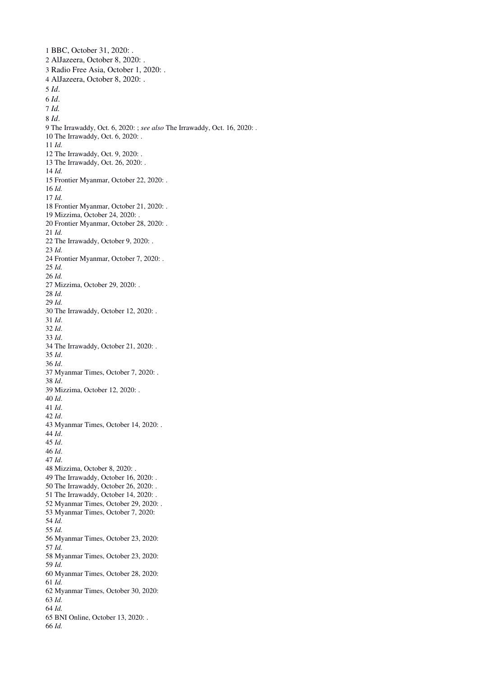BBC, October 31, 2020: . AlJazeera, October 8, 2020: . Radio Free Asia, October 1, 2020: . AlJazeera, October 8, 2020: . *Id*. *Id*. *Id. Id*. 9 The Irrawaddy, Oct. 6, 2020: ; *see also* The Irrawaddy, Oct. 16, 2020: . 10 The Irrawaddy, Oct. 6, 2020: . *Id.* 12 The Irrawaddy, Oct. 9, 2020: . 13 The Irrawaddy, Oct. 26, 2020: . *Id.* 15 Frontier Myanmar, October 22, 2020: . *Id. Id.* 18 Frontier Myanmar, October 21, 2020: . 19 Mizzima, October 24, 2020: . 20 Frontier Myanmar, October 28, 2020: . *Id.* 22 The Irrawaddy, October 9, 2020: . *Id.* 24 Frontier Myanmar, October 7, 2020: . *Id. Id.* 27 Mizzima, October 29, 2020: . *Id. Id.* 30 The Irrawaddy, October 12, 2020: . *Id*. *Id*. *Id*. 34 The Irrawaddy, October 21, 2020: . *Id*. *Id*. 37 Myanmar Times, October 7, 2020: . *Id*. 39 Mizzima, October 12, 2020: . *Id*. *Id*. *Id*. 43 Myanmar Times, October 14, 2020: . *Id*. *Id*. *Id*. *Id*. 48 Mizzima, October 8, 2020: . 49 The Irrawaddy, October 16, 2020: . 50 The Irrawaddy, October 26, 2020: . 51 The Irrawaddy, October 14, 2020: . 52 Myanmar Times, October 29, 2020: . Myanmar Times, October 7, 2020: *Id. Id.* Myanmar Times, October 23, 2020: *Id.* Myanmar Times, October 23, 2020: *Id.* Myanmar Times, October 28, 2020: *Id.* Myanmar Times, October 30, 2020: *Id. Id.* 65 BNI Online, October 13, 2020: . *Id.*